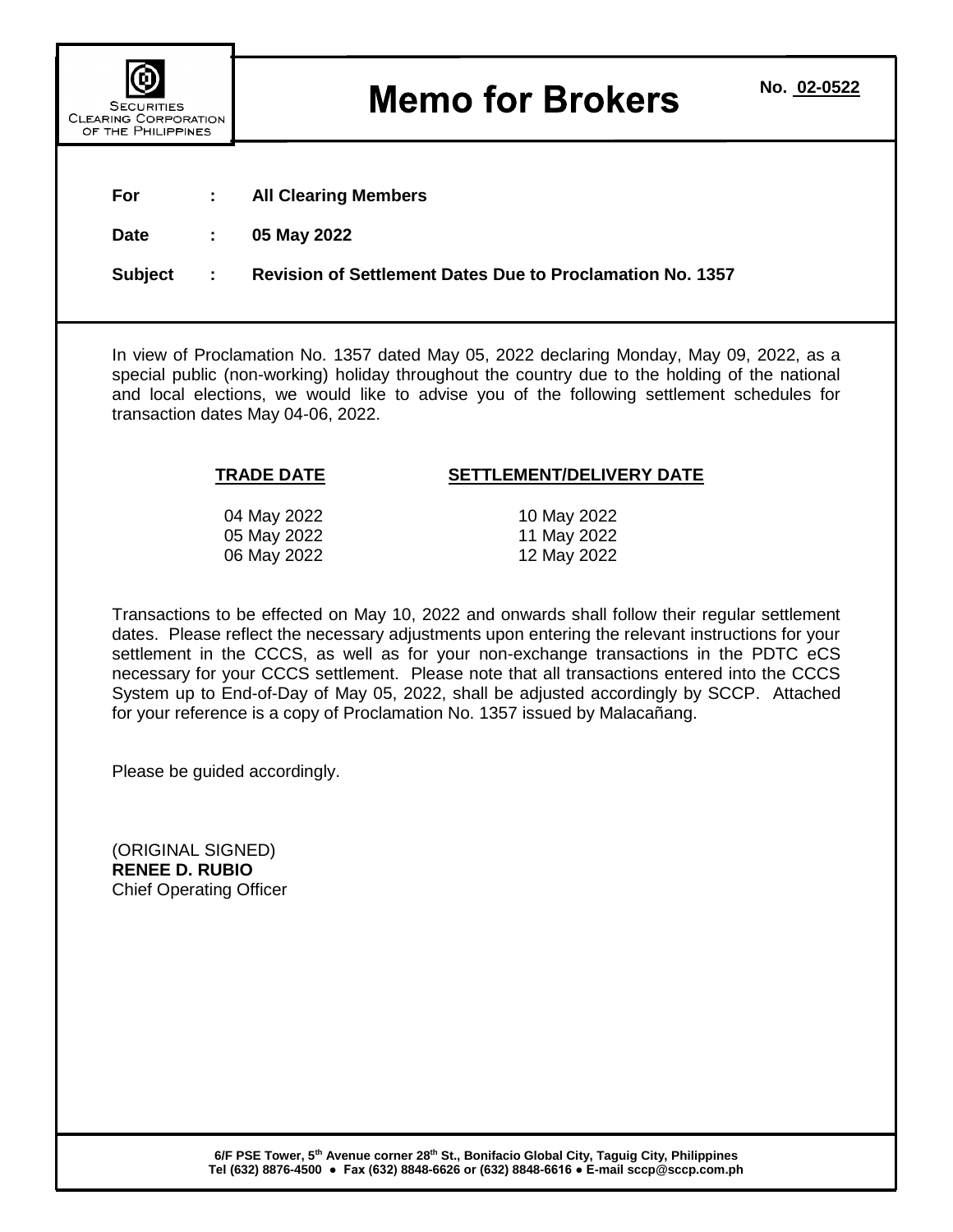| <b>SECURITIES</b><br><b>CLEARING CORPORATION</b><br>OF THE PHILIPPINES |
|------------------------------------------------------------------------|

## **Memo for Brokers**

| הוואס טטהרטתאווטו<br>OF THE PHILIPPINES                                                                                                                                                                                                                                                                                                                                                                                                                                                                                                                              |   |                                                                  |  |
|----------------------------------------------------------------------------------------------------------------------------------------------------------------------------------------------------------------------------------------------------------------------------------------------------------------------------------------------------------------------------------------------------------------------------------------------------------------------------------------------------------------------------------------------------------------------|---|------------------------------------------------------------------|--|
| For                                                                                                                                                                                                                                                                                                                                                                                                                                                                                                                                                                  |   | <b>All Clearing Members</b>                                      |  |
| <b>Date</b>                                                                                                                                                                                                                                                                                                                                                                                                                                                                                                                                                          |   | 05 May 2022                                                      |  |
| <b>Subject</b>                                                                                                                                                                                                                                                                                                                                                                                                                                                                                                                                                       | ÷ | <b>Revision of Settlement Dates Due to Proclamation No. 1357</b> |  |
|                                                                                                                                                                                                                                                                                                                                                                                                                                                                                                                                                                      |   |                                                                  |  |
| In view of Proclamation No. 1357 dated May 05, 2022 declaring Monday, May 09, 2022, as a<br>special public (non-working) holiday throughout the country due to the holding of the national<br>and local elections, we would like to advise you of the following settlement schedules for<br>transaction dates May 04-06, 2022.                                                                                                                                                                                                                                       |   |                                                                  |  |
|                                                                                                                                                                                                                                                                                                                                                                                                                                                                                                                                                                      |   | <b>TRADE DATE</b><br>SETTLEMENT/DELIVERY DATE                    |  |
|                                                                                                                                                                                                                                                                                                                                                                                                                                                                                                                                                                      |   | 04 May 2022<br>10 May 2022                                       |  |
|                                                                                                                                                                                                                                                                                                                                                                                                                                                                                                                                                                      |   | 05 May 2022<br>11 May 2022<br>06 May 2022<br>12 May 2022         |  |
| Transactions to be effected on May 10, 2022 and onwards shall follow their regular settlement<br>dates. Please reflect the necessary adjustments upon entering the relevant instructions for your<br>settlement in the CCCS, as well as for your non-exchange transactions in the PDTC eCS<br>necessary for your CCCS settlement. Please note that all transactions entered into the CCCS<br>System up to End-of-Day of May 05, 2022, shall be adjusted accordingly by SCCP. Attached<br>for your reference is a copy of Proclamation No. 1357 issued by Malacañang. |   |                                                                  |  |
|                                                                                                                                                                                                                                                                                                                                                                                                                                                                                                                                                                      |   | Please be guided accordingly.                                    |  |
| (ORIGINAL SIGNED)<br><b>RENEE D. RUBIO</b><br><b>Chief Operating Officer</b>                                                                                                                                                                                                                                                                                                                                                                                                                                                                                         |   |                                                                  |  |
|                                                                                                                                                                                                                                                                                                                                                                                                                                                                                                                                                                      |   |                                                                  |  |
|                                                                                                                                                                                                                                                                                                                                                                                                                                                                                                                                                                      |   |                                                                  |  |
|                                                                                                                                                                                                                                                                                                                                                                                                                                                                                                                                                                      |   |                                                                  |  |
|                                                                                                                                                                                                                                                                                                                                                                                                                                                                                                                                                                      |   |                                                                  |  |

**6/F PSE Tower, 5th Avenue corner 28th St., Bonifacio Global City, Taguig City, Philippines Tel (632) 8876-4500 ● Fax (632) 8848-6626 or (632) 8848-6616 ● E-mail sccp@sccp.com.ph**